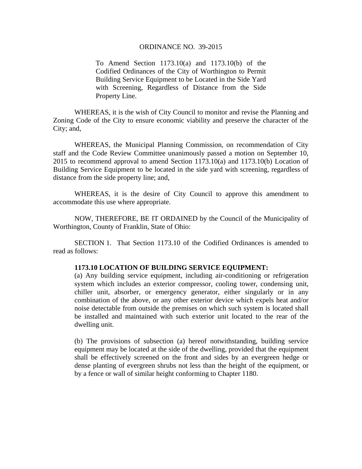## ORDINANCE NO. 39-2015

To Amend Section 1173.10(a) and 1173.10(b) of the Codified Ordinances of the City of Worthington to Permit Building Service Equipment to be Located in the Side Yard with Screening, Regardless of Distance from the Side Property Line.

WHEREAS, it is the wish of City Council to monitor and revise the Planning and Zoning Code of the City to ensure economic viability and preserve the character of the City; and,

WHEREAS, the Municipal Planning Commission, on recommendation of City staff and the Code Review Committee unanimously passed a motion on September 10, 2015 to recommend approval to amend Section 1173.10(a) and 1173.10(b) Location of Building Service Equipment to be located in the side yard with screening, regardless of distance from the side property line; and,

WHEREAS, it is the desire of City Council to approve this amendment to accommodate this use where appropriate.

 NOW, THEREFORE, BE IT ORDAINED by the Council of the Municipality of Worthington, County of Franklin, State of Ohio:

 SECTION 1. That Section 1173.10 of the Codified Ordinances is amended to read as follows:

## **1173.10 LOCATION OF BUILDING SERVICE EQUIPMENT:**

(a) Any building service equipment, including air-conditioning or refrigeration system which includes an exterior compressor, cooling tower, condensing unit, chiller unit, absorber, or emergency generator, either singularly or in any combination of the above, or any other exterior device which expels heat and/or noise detectable from outside the premises on which such system is located shall be installed and maintained with such exterior unit located to the rear of the dwelling unit.

(b) The provisions of subsection (a) hereof notwithstanding, building service equipment may be located at the side of the dwelling, provided that the equipment shall be effectively screened on the front and sides by an evergreen hedge or dense planting of evergreen shrubs not less than the height of the equipment, or by a fence or wall of similar height conforming to Chapter 1180.